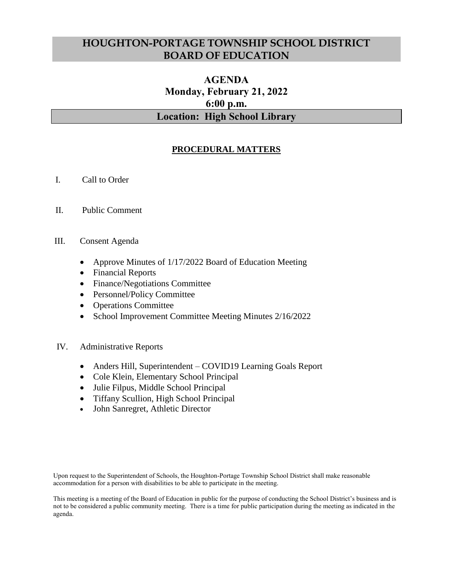## **HOUGHTON-PORTAGE TOWNSHIP SCHOOL DISTRICT BOARD OF EDUCATION**

# **AGENDA Monday, February 21, 2022 6:00 p.m. Location: High School Library**

## **PROCEDURAL MATTERS**

- I. Call to Order
- II. Public Comment
- III. Consent Agenda
	- Approve Minutes of 1/17/2022 Board of Education Meeting
	- Financial Reports
	- Finance/Negotiations Committee
	- Personnel/Policy Committee
	- Operations Committee
	- School Improvement Committee Meeting Minutes 2/16/2022

### IV. Administrative Reports

- Anders Hill, Superintendent COVID19 Learning Goals Report
- Cole Klein, Elementary School Principal
- Julie Filpus, Middle School Principal
- Tiffany Scullion, High School Principal
- John Sanregret, Athletic Director

Upon request to the Superintendent of Schools, the Houghton-Portage Township School District shall make reasonable accommodation for a person with disabilities to be able to participate in the meeting.

This meeting is a meeting of the Board of Education in public for the purpose of conducting the School District's business and is not to be considered a public community meeting. There is a time for public participation during the meeting as indicated in the agenda.